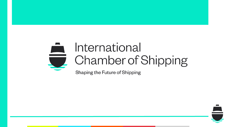# International **Chamber of Shipping**

Shaping the Future of Shipping

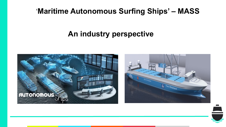### 'Maritime Autonomous Surfing Ships' - MASS

### An industry perspective





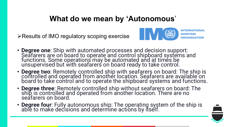#### **What do we mean by 'Autonomous**'

 $\triangleright$  Results of IMO regulatory scoping exercise



**INTERNATIONAL ORGANIZATION** 

- **Degree one**: Ship with automated processes and decision support:<br>Seafarers are on board to operate and control shipboard systems and functions. Some operations may be automated and at times be unsupervised but with seafarers on board ready to take control.
- **Degree two**: Remotely controlled ship with seafarers on board: The ship is controlled and operated from another location. Seafarers are available on board to take control and to operate the shipboard systems and functions.
- **Degree three**: Remotely controlled ship without seafarers on board: The ship is controlled and operated from another location. There are no seafarers on board.
- **Degree four**: Fully autonomous ship: The operating system of the ship is able to make decisions and determine actions by itself.

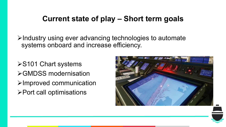#### **Current state of play – Short term goals**

 $\triangleright$ Industry using ever advancing technologies to automate systems onboard and increase efficiency.

**≻S101 Chart systems** ØGMDSS modernisation  $\triangleright$ Improved communication  $\triangleright$  Port call optimisations

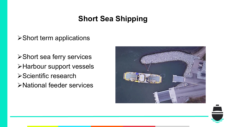### **Short Sea Shipping**

#### $\triangleright$  Short term applications

**≻Short sea ferry services** ØHarbour support vessels **≻Scientific research** ØNational feeder services



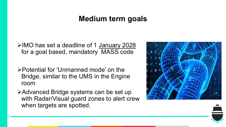#### **Medium term goals**

ØIMO has set a deadline of 1 January 2028 for a goal based, mandatory MASS code

- ØPotential for 'Unmanned mode' on the Bridge, similar to the UMS in the Engine room
- **≻Advanced Bridge systems can be set up** with Radar/Visual guard zones to alert crew when targets are spotted.

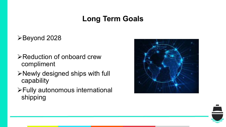### **Long Term Goals**

#### ØBeyond 2028

- **≻Reduction of onboard crew** compliment
- ØNewly designed ships with full capability
- ØFully autonomous international shipping



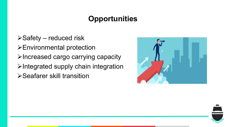## **Opportunities**

- $\triangleright$  Safety reduced risk
- ØEnvironmental protection
- $\triangleright$  Increased cargo carrying capacity
- $\triangleright$ Integrated supply chain integration
- **≻Seafarer skill transition**



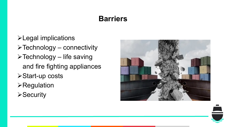### **Barriers**

- $\blacktriangleright$  Legal implications
- $\triangleright$  Technology connectivity
- $\triangleright$  Technology life saving and fire fighting appliances
- **≻Start-up costs**
- $\triangleright$ Regulation
- $\triangleright$ Security